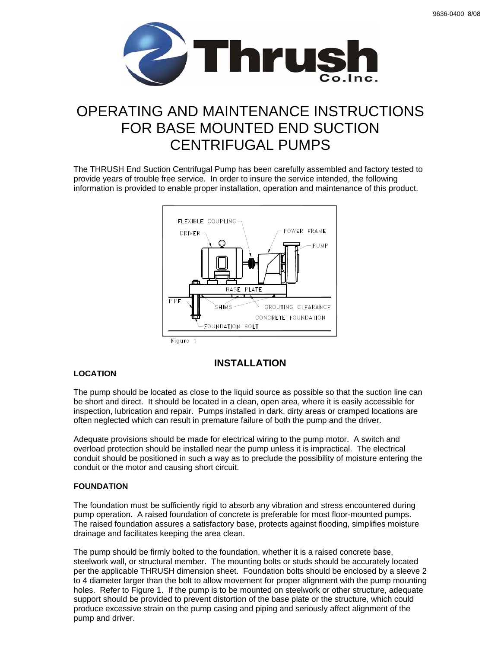

# OPERATING AND MAINTENANCE INSTRUCTIONS FOR BASE MOUNTED END SUCTION CENTRIFUGAL PUMPS

The THRUSH End Suction Centrifugal Pump has been carefully assembled and factory tested to provide years of trouble free service. In order to insure the service intended, the following information is provided to enable proper installation, operation and maintenance of this product.



# **LOCATION**

# **INSTALLATION**

The pump should be located as close to the liquid source as possible so that the suction line can be short and direct. It should be located in a clean, open area, where it is easily accessible for inspection, lubrication and repair. Pumps installed in dark, dirty areas or cramped locations are often neglected which can result in premature failure of both the pump and the driver.

Adequate provisions should be made for electrical wiring to the pump motor. A switch and overload protection should be installed near the pump unless it is impractical. The electrical conduit should be positioned in such a way as to preclude the possibility of moisture entering the conduit or the motor and causing short circuit.

# **FOUNDATION**

The foundation must be sufficiently rigid to absorb any vibration and stress encountered during pump operation. A raised foundation of concrete is preferable for most floor-mounted pumps. The raised foundation assures a satisfactory base, protects against flooding, simplifies moisture drainage and facilitates keeping the area clean.

The pump should be firmly bolted to the foundation, whether it is a raised concrete base, steelwork wall, or structural member. The mounting bolts or studs should be accurately located per the applicable THRUSH dimension sheet. Foundation bolts should be enclosed by a sleeve 2 to 4 diameter larger than the bolt to allow movement for proper alignment with the pump mounting holes. Refer to Figure 1. If the pump is to be mounted on steelwork or other structure, adequate support should be provided to prevent distortion of the base plate or the structure, which could produce excessive strain on the pump casing and piping and seriously affect alignment of the pump and driver.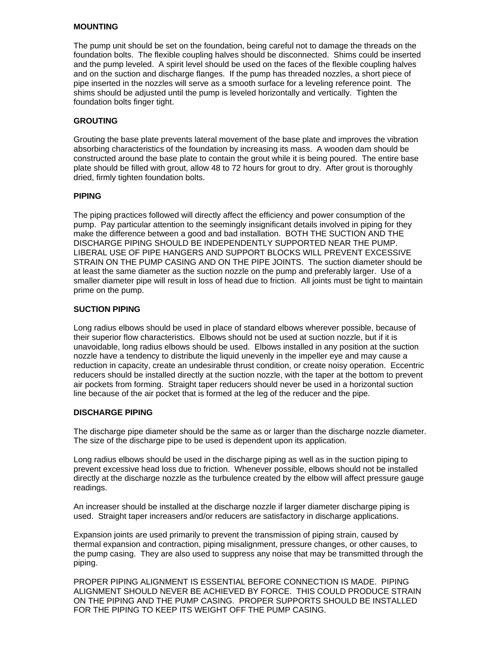#### **MOUNTING**

The pump unit should be set on the foundation, being careful not to damage the threads on the foundation bolts. The flexible coupling halves should be disconnected. Shims could be inserted and the pump leveled. A spirit level should be used on the faces of the flexible coupling halves and on the suction and discharge flanges. If the pump has threaded nozzles, a short piece of pipe inserted in the nozzles will serve as a smooth surface for a leveling reference point. The shims should be adjusted until the pump is leveled horizontally and vertically. Tighten the foundation bolts finger tight.

#### **GROUTING**

Grouting the base plate prevents lateral movement of the base plate and improves the vibration absorbing characteristics of the foundation by increasing its mass. A wooden dam should be constructed around the base plate to contain the grout while it is being poured. The entire base plate should be filled with grout, allow 48 to 72 hours for grout to dry. After grout is thoroughly dried, firmly tighten foundation bolts.

#### **PIPING**

The piping practices followed will directly affect the efficiency and power consumption of the pump. Pay particular attention to the seemingly insignificant details involved in piping for they make the difference between a good and bad installation. BOTH THE SUCTION AND THE DISCHARGE PIPING SHOULD BE INDEPENDENTLY SUPPORTED NEAR THE PUMP. LIBERAL USE OF PIPE HANGERS AND SUPPORT BLOCKS WILL PREVENT EXCESSIVE STRAIN ON THE PUMP CASING AND ON THE PIPE JOINTS. The suction diameter should be at least the same diameter as the suction nozzle on the pump and preferably larger. Use of a smaller diameter pipe will result in loss of head due to friction. All joints must be tight to maintain prime on the pump.

#### **SUCTION PIPING**

Long radius elbows should be used in place of standard elbows wherever possible, because of their superior flow characteristics. Elbows should not be used at suction nozzle, but if it is unavoidable, long radius elbows should be used. Elbows installed in any position at the suction nozzle have a tendency to distribute the liquid unevenly in the impeller eye and may cause a reduction in capacity, create an undesirable thrust condition, or create noisy operation. Eccentric reducers should be installed directly at the suction nozzle, with the taper at the bottom to prevent air pockets from forming. Straight taper reducers should never be used in a horizontal suction line because of the air pocket that is formed at the leg of the reducer and the pipe.

#### **DISCHARGE PIPING**

The discharge pipe diameter should be the same as or larger than the discharge nozzle diameter. The size of the discharge pipe to be used is dependent upon its application.

Long radius elbows should be used in the discharge piping as well as in the suction piping to prevent excessive head loss due to friction. Whenever possible, elbows should not be installed directly at the discharge nozzle as the turbulence created by the elbow will affect pressure gauge readings.

An increaser should be installed at the discharge nozzle if larger diameter discharge piping is used. Straight taper increasers and/or reducers are satisfactory in discharge applications.

Expansion joints are used primarily to prevent the transmission of piping strain, caused by thermal expansion and contraction, piping misalignment, pressure changes, or other causes, to the pump casing. They are also used to suppress any noise that may be transmitted through the piping.

PROPER PIPING ALIGNMENT IS ESSENTIAL BEFORE CONNECTION IS MADE. PIPING ALIGNMENT SHOULD NEVER BE ACHIEVED BY FORCE. THIS COULD PRODUCE STRAIN ON THE PIPING AND THE PUMP CASING. PROPER SUPPORTS SHOULD BE INSTALLED FOR THE PIPING TO KEEP ITS WEIGHT OFF THE PUMP CASING.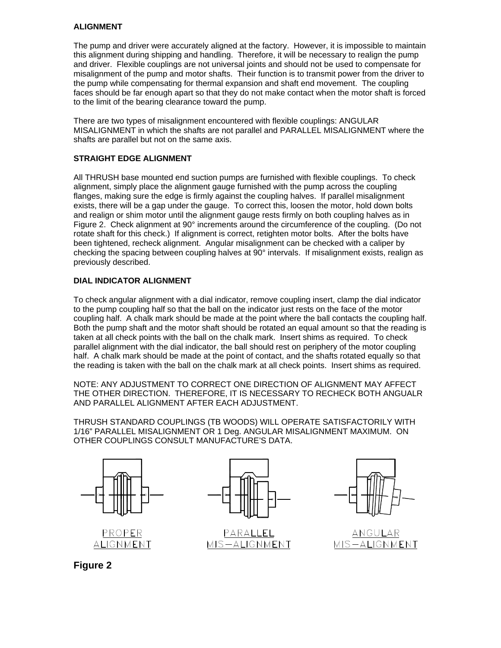# **ALIGNMENT**

The pump and driver were accurately aligned at the factory. However, it is impossible to maintain this alignment during shipping and handling. Therefore, it will be necessary to realign the pump and driver. Flexible couplings are not universal joints and should not be used to compensate for misalignment of the pump and motor shafts. Their function is to transmit power from the driver to the pump while compensating for thermal expansion and shaft end movement. The coupling faces should be far enough apart so that they do not make contact when the motor shaft is forced to the limit of the bearing clearance toward the pump.

There are two types of misalignment encountered with flexible couplings: ANGULAR MISALIGNMENT in which the shafts are not parallel and PARALLEL MISALIGNMENT where the shafts are parallel but not on the same axis.

#### **STRAIGHT EDGE ALIGNMENT**

All THRUSH base mounted end suction pumps are furnished with flexible couplings. To check alignment, simply place the alignment gauge furnished with the pump across the coupling flanges, making sure the edge is firmly against the coupling halves. If parallel misalignment exists, there will be a gap under the gauge. To correct this, loosen the motor, hold down bolts and realign or shim motor until the alignment gauge rests firmly on both coupling halves as in Figure 2. Check alignment at 90° increments around the circumference of the coupling. (Do not rotate shaft for this check.) If alignment is correct, retighten motor bolts. After the bolts have been tightened, recheck alignment. Angular misalignment can be checked with a caliper by checking the spacing between coupling halves at 90° intervals. If misalignment exists, realign as previously described.

# **DIAL INDICATOR ALIGNMENT**

To check angular alignment with a dial indicator, remove coupling insert, clamp the dial indicator to the pump coupling half so that the ball on the indicator just rests on the face of the motor coupling half. A chalk mark should be made at the point where the ball contacts the coupling half. Both the pump shaft and the motor shaft should be rotated an equal amount so that the reading is taken at all check points with the ball on the chalk mark. Insert shims as required. To check parallel alignment with the dial indicator, the ball should rest on periphery of the motor coupling half. A chalk mark should be made at the point of contact, and the shafts rotated equally so that the reading is taken with the ball on the chalk mark at all check points. Insert shims as required.

NOTE: ANY ADJUSTMENT TO CORRECT ONE DIRECTION OF ALIGNMENT MAY AFFECT THE OTHER DIRECTION. THEREFORE, IT IS NECESSARY TO RECHECK BOTH ANGUALR AND PARALLEL ALIGNMENT AFTER EACH ADJUSTMENT.

THRUSH STANDARD COUPLINGS (TB WOODS) WILL OPERATE SATISFACTORILY WITH 1/16" PARALLEL MISALIGNMENT OR 1 Deg. ANGULAR MISALIGNMENT MAXIMUM. ON OTHER COUPLINGS CONSULT MANUFACTURE'S DATA.









ANGULAR MIS-ALIGNMENT

**Figure 2**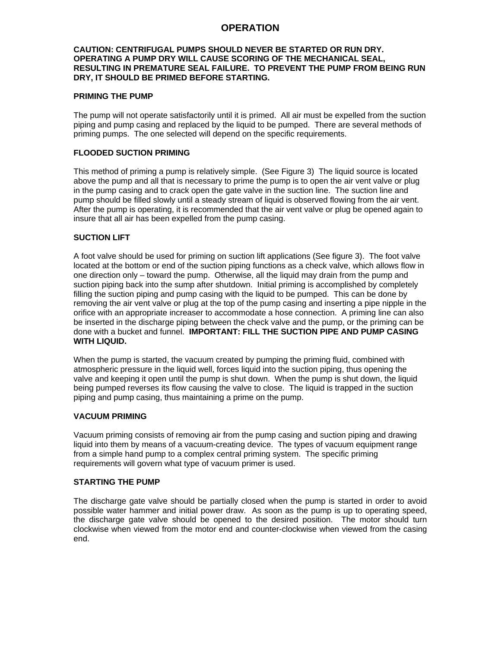# **OPERATION**

#### **CAUTION: CENTRIFUGAL PUMPS SHOULD NEVER BE STARTED OR RUN DRY. OPERATING A PUMP DRY WILL CAUSE SCORING OF THE MECHANICAL SEAL, RESULTING IN PREMATURE SEAL FAILURE. TO PREVENT THE PUMP FROM BEING RUN DRY, IT SHOULD BE PRIMED BEFORE STARTING.**

#### **PRIMING THE PUMP**

The pump will not operate satisfactorily until it is primed. All air must be expelled from the suction piping and pump casing and replaced by the liquid to be pumped. There are several methods of priming pumps. The one selected will depend on the specific requirements.

#### **FLOODED SUCTION PRIMING**

This method of priming a pump is relatively simple. (See Figure 3) The liquid source is located above the pump and all that is necessary to prime the pump is to open the air vent valve or plug in the pump casing and to crack open the gate valve in the suction line. The suction line and pump should be filled slowly until a steady stream of liquid is observed flowing from the air vent. After the pump is operating, it is recommended that the air vent valve or plug be opened again to insure that all air has been expelled from the pump casing.

#### **SUCTION LIFT**

A foot valve should be used for priming on suction lift applications (See figure 3). The foot valve located at the bottom or end of the suction piping functions as a check valve, which allows flow in one direction only – toward the pump. Otherwise, all the liquid may drain from the pump and suction piping back into the sump after shutdown. Initial priming is accomplished by completely filling the suction piping and pump casing with the liquid to be pumped. This can be done by removing the air vent valve or plug at the top of the pump casing and inserting a pipe nipple in the orifice with an appropriate increaser to accommodate a hose connection. A priming line can also be inserted in the discharge piping between the check valve and the pump, or the priming can be done with a bucket and funnel. **IMPORTANT: FILL THE SUCTION PIPE AND PUMP CASING WITH LIQUID.** 

When the pump is started, the vacuum created by pumping the priming fluid, combined with atmospheric pressure in the liquid well, forces liquid into the suction piping, thus opening the valve and keeping it open until the pump is shut down. When the pump is shut down, the liquid being pumped reverses its flow causing the valve to close. The liquid is trapped in the suction piping and pump casing, thus maintaining a prime on the pump.

#### **VACUUM PRIMING**

Vacuum priming consists of removing air from the pump casing and suction piping and drawing liquid into them by means of a vacuum-creating device. The types of vacuum equipment range from a simple hand pump to a complex central priming system. The specific priming requirements will govern what type of vacuum primer is used.

#### **STARTING THE PUMP**

The discharge gate valve should be partially closed when the pump is started in order to avoid possible water hammer and initial power draw. As soon as the pump is up to operating speed, the discharge gate valve should be opened to the desired position. The motor should turn clockwise when viewed from the motor end and counter-clockwise when viewed from the casing end.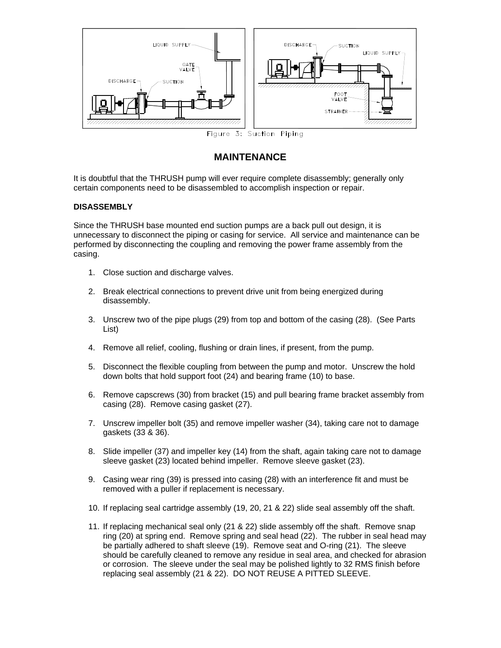

# **MAINTENANCE**

It is doubtful that the THRUSH pump will ever require complete disassembly; generally only certain components need to be disassembled to accomplish inspection or repair.

#### **DISASSEMBLY**

Since the THRUSH base mounted end suction pumps are a back pull out design, it is unnecessary to disconnect the piping or casing for service. All service and maintenance can be performed by disconnecting the coupling and removing the power frame assembly from the casing.

- 1. Close suction and discharge valves.
- 2. Break electrical connections to prevent drive unit from being energized during disassembly.
- 3. Unscrew two of the pipe plugs (29) from top and bottom of the casing (28). (See Parts List)
- 4. Remove all relief, cooling, flushing or drain lines, if present, from the pump.
- 5. Disconnect the flexible coupling from between the pump and motor. Unscrew the hold down bolts that hold support foot (24) and bearing frame (10) to base.
- 6. Remove capscrews (30) from bracket (15) and pull bearing frame bracket assembly from casing (28). Remove casing gasket (27).
- 7. Unscrew impeller bolt (35) and remove impeller washer (34), taking care not to damage gaskets (33 & 36).
- 8. Slide impeller (37) and impeller key (14) from the shaft, again taking care not to damage sleeve gasket (23) located behind impeller. Remove sleeve gasket (23).
- 9. Casing wear ring (39) is pressed into casing (28) with an interference fit and must be removed with a puller if replacement is necessary.
- 10. If replacing seal cartridge assembly (19, 20, 21 & 22) slide seal assembly off the shaft.
- 11. If replacing mechanical seal only (21 & 22) slide assembly off the shaft. Remove snap ring (20) at spring end. Remove spring and seal head (22). The rubber in seal head may be partially adhered to shaft sleeve (19). Remove seat and O-ring (21). The sleeve should be carefully cleaned to remove any residue in seal area, and checked for abrasion or corrosion. The sleeve under the seal may be polished lightly to 32 RMS finish before replacing seal assembly (21 & 22). DO NOT REUSE A PITTED SLEEVE.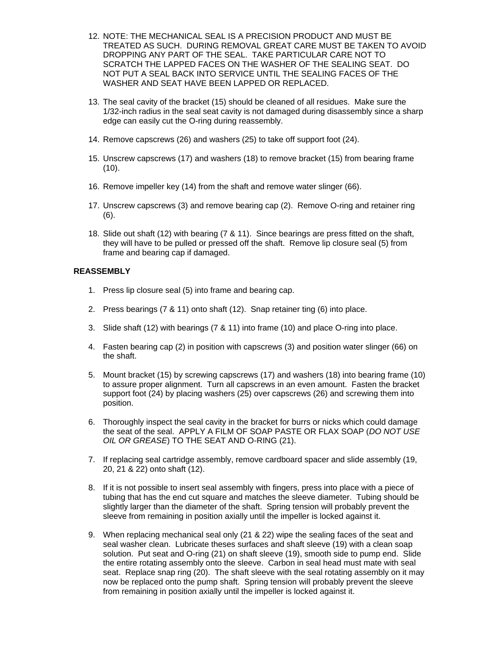- 12. NOTE: THE MECHANICAL SEAL IS A PRECISION PRODUCT AND MUST BE TREATED AS SUCH. DURING REMOVAL GREAT CARE MUST BE TAKEN TO AVOID DROPPING ANY PART OF THE SEAL. TAKE PARTICULAR CARE NOT TO SCRATCH THE LAPPED FACES ON THE WASHER OF THE SEALING SEAT. DO NOT PUT A SEAL BACK INTO SERVICE UNTIL THE SEALING FACES OF THE WASHER AND SEAT HAVE BEEN LAPPED OR REPLACED.
- 13. The seal cavity of the bracket (15) should be cleaned of all residues. Make sure the 1/32-inch radius in the seal seat cavity is not damaged during disassembly since a sharp edge can easily cut the O-ring during reassembly.
- 14. Remove capscrews (26) and washers (25) to take off support foot (24).
- 15. Unscrew capscrews (17) and washers (18) to remove bracket (15) from bearing frame  $(10)$ .
- 16. Remove impeller key (14) from the shaft and remove water slinger (66).
- 17. Unscrew capscrews (3) and remove bearing cap (2). Remove O-ring and retainer ring (6).
- 18. Slide out shaft (12) with bearing (7 & 11). Since bearings are press fitted on the shaft, they will have to be pulled or pressed off the shaft. Remove lip closure seal (5) from frame and bearing cap if damaged.

#### **REASSEMBLY**

- 1. Press lip closure seal (5) into frame and bearing cap.
- 2. Press bearings (7 & 11) onto shaft (12). Snap retainer ting (6) into place.
- 3. Slide shaft (12) with bearings (7 & 11) into frame (10) and place O-ring into place.
- 4. Fasten bearing cap (2) in position with capscrews (3) and position water slinger (66) on the shaft.
- 5. Mount bracket (15) by screwing capscrews (17) and washers (18) into bearing frame (10) to assure proper alignment. Turn all capscrews in an even amount. Fasten the bracket support foot (24) by placing washers (25) over capscrews (26) and screwing them into position.
- 6. Thoroughly inspect the seal cavity in the bracket for burrs or nicks which could damage the seat of the seal. APPLY A FILM OF SOAP PASTE OR FLAX SOAP (*DO NOT USE OIL OR GREASE*) TO THE SEAT AND O-RING (21).
- 7. If replacing seal cartridge assembly, remove cardboard spacer and slide assembly (19, 20, 21 & 22) onto shaft (12).
- 8. If it is not possible to insert seal assembly with fingers, press into place with a piece of tubing that has the end cut square and matches the sleeve diameter. Tubing should be slightly larger than the diameter of the shaft. Spring tension will probably prevent the sleeve from remaining in position axially until the impeller is locked against it.
- 9. When replacing mechanical seal only (21 & 22) wipe the sealing faces of the seat and seal washer clean. Lubricate theses surfaces and shaft sleeve (19) with a clean soap solution. Put seat and O-ring (21) on shaft sleeve (19), smooth side to pump end. Slide the entire rotating assembly onto the sleeve. Carbon in seal head must mate with seal seat. Replace snap ring (20). The shaft sleeve with the seal rotating assembly on it may now be replaced onto the pump shaft. Spring tension will probably prevent the sleeve from remaining in position axially until the impeller is locked against it.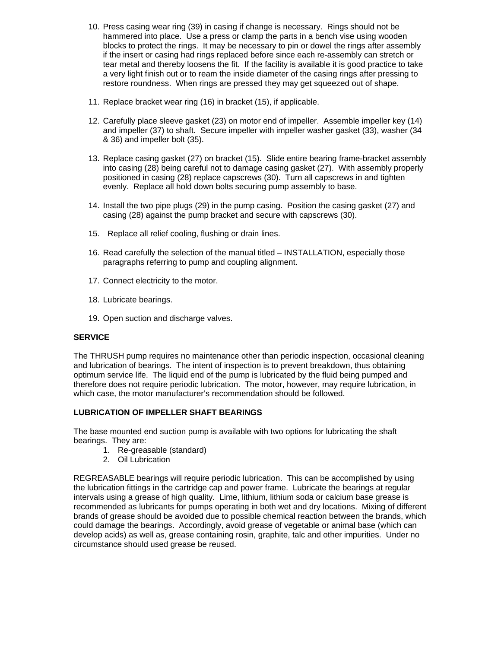- 10. Press casing wear ring (39) in casing if change is necessary. Rings should not be hammered into place. Use a press or clamp the parts in a bench vise using wooden blocks to protect the rings. It may be necessary to pin or dowel the rings after assembly if the insert or casing had rings replaced before since each re-assembly can stretch or tear metal and thereby loosens the fit. If the facility is available it is good practice to take a very light finish out or to ream the inside diameter of the casing rings after pressing to restore roundness. When rings are pressed they may get squeezed out of shape.
- 11. Replace bracket wear ring (16) in bracket (15), if applicable.
- 12. Carefully place sleeve gasket (23) on motor end of impeller. Assemble impeller key (14) and impeller (37) to shaft. Secure impeller with impeller washer gasket (33), washer (34 & 36) and impeller bolt (35).
- 13. Replace casing gasket (27) on bracket (15). Slide entire bearing frame-bracket assembly into casing (28) being careful not to damage casing gasket (27). With assembly properly positioned in casing (28) replace capscrews (30). Turn all capscrews in and tighten evenly. Replace all hold down bolts securing pump assembly to base.
- 14. Install the two pipe plugs (29) in the pump casing. Position the casing gasket (27) and casing (28) against the pump bracket and secure with capscrews (30).
- 15. Replace all relief cooling, flushing or drain lines.
- 16. Read carefully the selection of the manual titled INSTALLATION, especially those paragraphs referring to pump and coupling alignment.
- 17. Connect electricity to the motor.
- 18. Lubricate bearings.
- 19. Open suction and discharge valves.

#### **SERVICE**

The THRUSH pump requires no maintenance other than periodic inspection, occasional cleaning and lubrication of bearings. The intent of inspection is to prevent breakdown, thus obtaining optimum service life. The liquid end of the pump is lubricated by the fluid being pumped and therefore does not require periodic lubrication. The motor, however, may require lubrication, in which case, the motor manufacturer's recommendation should be followed.

# **LUBRICATION OF IMPELLER SHAFT BEARINGS**

The base mounted end suction pump is available with two options for lubricating the shaft bearings. They are:

- 1. Re-greasable (standard)
- 2. Oil Lubrication

REGREASABLE bearings will require periodic lubrication. This can be accomplished by using the lubrication fittings in the cartridge cap and power frame. Lubricate the bearings at regular intervals using a grease of high quality. Lime, lithium, lithium soda or calcium base grease is recommended as lubricants for pumps operating in both wet and dry locations. Mixing of different brands of grease should be avoided due to possible chemical reaction between the brands, which could damage the bearings. Accordingly, avoid grease of vegetable or animal base (which can develop acids) as well as, grease containing rosin, graphite, talc and other impurities. Under no circumstance should used grease be reused.